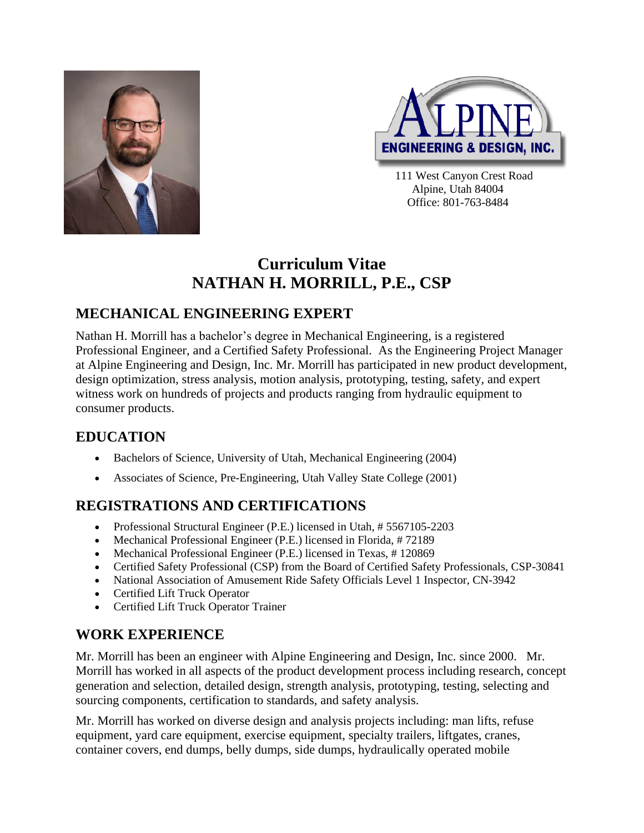



111 West Canyon Crest Road Alpine, Utah 84004 Office: 801-763-8484

## **Curriculum Vitae NATHAN H. MORRILL, P.E., CSP**

### **MECHANICAL ENGINEERING EXPERT**

Nathan H. Morrill has a bachelor's degree in Mechanical Engineering, is a registered Professional Engineer, and a Certified Safety Professional. As the Engineering Project Manager at Alpine Engineering and Design, Inc. Mr. Morrill has participated in new product development, design optimization, stress analysis, motion analysis, prototyping, testing, safety, and expert witness work on hundreds of projects and products ranging from hydraulic equipment to consumer products.

#### **EDUCATION**

- Bachelors of Science, University of Utah, Mechanical Engineering (2004)
- Associates of Science, Pre-Engineering, Utah Valley State College (2001)

### **REGISTRATIONS AND CERTIFICATIONS**

- Professional Structural Engineer (P.E.) licensed in Utah, #5567105-2203
- Mechanical Professional Engineer (P.E.) licensed in Florida, # 72189
- Mechanical Professional Engineer (P.E.) licensed in Texas, #120869
- Certified Safety Professional (CSP) from the Board of Certified Safety Professionals, CSP-30841
- National Association of Amusement Ride Safety Officials Level 1 Inspector, CN-3942
- Certified Lift Truck Operator
- Certified Lift Truck Operator Trainer

#### **WORK EXPERIENCE**

Mr. Morrill has been an engineer with Alpine Engineering and Design, Inc. since 2000. Mr. Morrill has worked in all aspects of the product development process including research, concept generation and selection, detailed design, strength analysis, prototyping, testing, selecting and sourcing components, certification to standards, and safety analysis.

Mr. Morrill has worked on diverse design and analysis projects including: man lifts, refuse equipment, yard care equipment, exercise equipment, specialty trailers, liftgates, cranes, container covers, end dumps, belly dumps, side dumps, hydraulically operated mobile